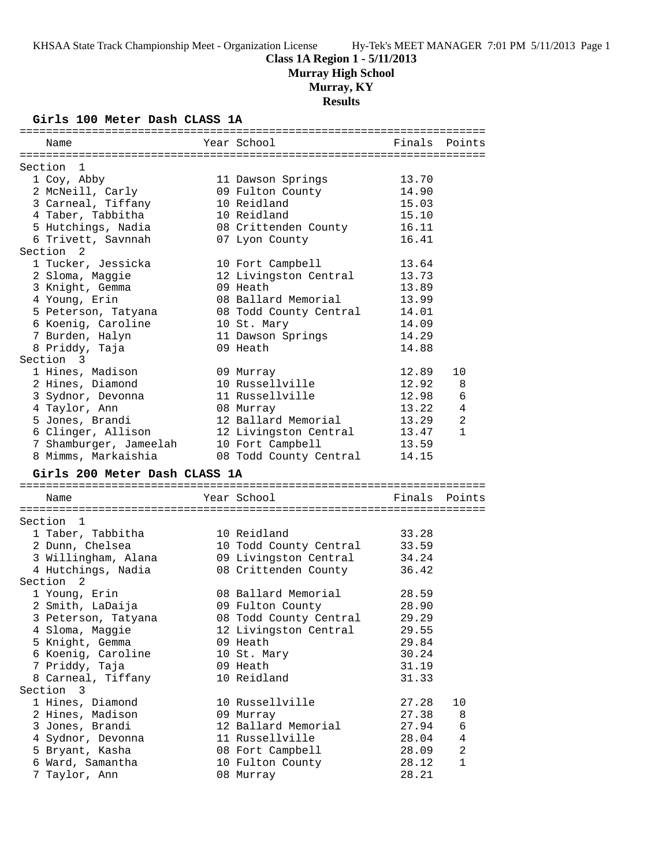# **Class 1A Region 1 - 5/11/2013**

**Murray High School**

# **Murray, KY**

**Results**

#### **Girls 100 Meter Dash CLASS 1A**

| Name                                         | Year School                                | Finals         | Points         |
|----------------------------------------------|--------------------------------------------|----------------|----------------|
|                                              |                                            |                |                |
| Section 1<br>1 Coy, Abby                     | 11 Dawson Springs                          | 13.70          |                |
| 2 McNeill, Carly                             | 09 Fulton County                           | 14.90          |                |
| 3 Carneal, Tiffany                           | 10 Reidland                                | 15.03          |                |
| 4 Taber, Tabbitha                            | 10 Reidland                                | 15.10          |                |
| 5 Hutchings, Nadia                           | 08 Crittenden County                       | 16.11          |                |
| 6 Trivett, Savnnah                           | 07 Lyon County                             | 16.41          |                |
| Section 2                                    |                                            |                |                |
| 1 Tucker, Jessicka                           | 10 Fort Campbell                           | 13.64          |                |
| 2 Sloma, Maggie                              | 12 Livingston Central                      | 13.73          |                |
| 3 Knight, Gemma                              | 09 Heath                                   | 13.89          |                |
| 4 Young, Erin                                | 08 Ballard Memorial                        | 13.99          |                |
| 5 Peterson, Tatyana                          | 08 Todd County Central                     | 14.01          |                |
| 6 Koenig, Caroline                           | 10 St. Mary                                | 14.09          |                |
| 7 Burden, Halyn                              | 11 Dawson Springs                          | 14.29          |                |
| 8 Priddy, Taja                               | 09 Heath                                   | 14.88          |                |
| Section 3                                    |                                            |                |                |
| 1 Hines, Madison                             |                                            | 12.89          | 10             |
| 2 Hines, Diamond                             | 09 Murray<br>10 Russellville               | 12.92          | 8              |
|                                              | 11 Russellville                            | 12.98          | 6              |
| 3 Sydnor, Devonna                            |                                            | 13.22          | 4              |
| 4 Taylor, Ann<br>5 Jones, Brandi             | 08 Murray<br>12 Ballard Memorial           | 13.29          | 2              |
|                                              |                                            |                | $\mathbf{1}$   |
| 6 Clinger, Allison<br>7 Shamburger, Jameelah | 12 Livingston Central                      | 13.47          |                |
| 8 Mimms, Markaishia                          | 10 Fort Campbell<br>08 Todd County Central | 13.59<br>14.15 |                |
|                                              |                                            |                |                |
| Girls 200 Meter Dash CLASS 1A                |                                            |                |                |
| Name                                         | Year School                                | Finals         | Points         |
|                                              |                                            |                |                |
| Section 1                                    |                                            |                |                |
| 1 Taber, Tabbitha                            | 10 Reidland                                | 33.28          |                |
| 2 Dunn, Chelsea                              | 10 Todd County Central                     | 33.59          |                |
| 3 Willingham, Alana                          | 09 Livingston Central                      | 34.24          |                |
| 4 Hutchings, Nadia                           | 08 Crittenden County                       | 36.42          |                |
| Section 2                                    |                                            |                |                |
| 1 Young, Erin                                | 08 Ballard Memorial                        | 28.59          |                |
| 2 Smith, LaDaija                             | 09 Fulton County                           | 28.90          |                |
| 3 Peterson, Tatyana                          | 08 Todd County Central                     | 29.29          |                |
| 4 Sloma, Maggie                              | 12 Livingston Central                      | 29.55          |                |
| 5 Knight, Gemma                              | 09 Heath                                   | 29.84          |                |
| 6 Koenig, Caroline                           | 10 St. Mary                                | 30.24          |                |
| 7 Priddy, Taja                               | 09 Heath                                   | 31.19          |                |
| 8 Carneal, Tiffany                           | 10 Reidland                                | 31.33          |                |
| Section 3                                    |                                            |                |                |
| 1 Hines, Diamond                             | 10 Russellville                            | 27.28          | 10             |
| 2 Hines, Madison                             | 09 Murray                                  | 27.38          | 8              |
| 3 Jones, Brandi                              | 12 Ballard Memorial                        | 27.94          | 6              |
| 4 Sydnor, Devonna                            | 11 Russellville                            | 28.04          | 4              |
| 5 Bryant, Kasha                              | 08 Fort Campbell                           | 28.09          | $\overline{a}$ |
| 6 Ward, Samantha                             | 10 Fulton County                           | 28.12          | $\mathbf{1}$   |
|                                              |                                            | 28.21          |                |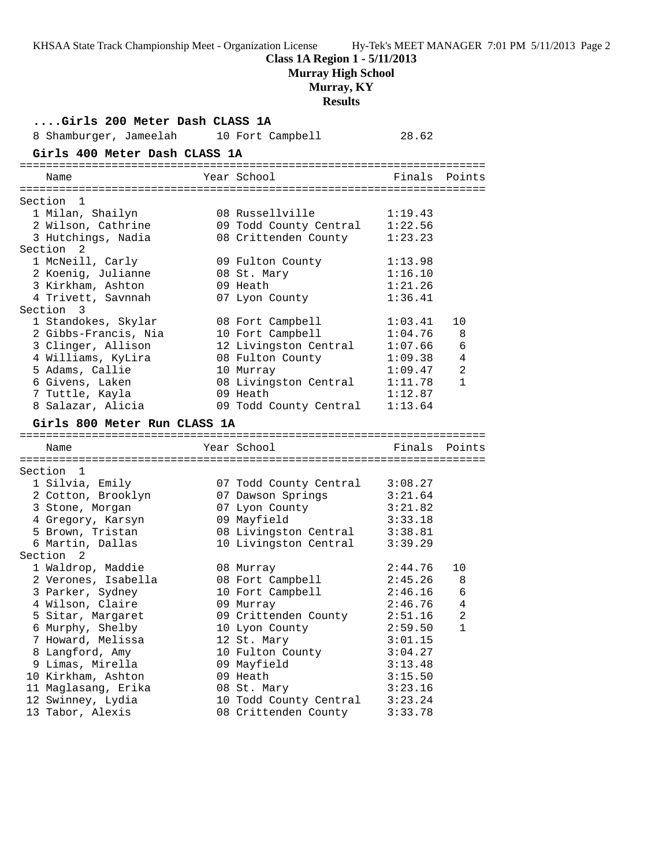**Class 1A Region 1 - 5/11/2013**

**Murray High School**

**Murray, KY**

#### **Results**

**....Girls 200 Meter Dash CLASS 1A** 8 Shamburger, Jameelah 10 Fort Campbell 28.62 **Girls 400 Meter Dash CLASS 1A** ======================================================================= Year School **Finals** Points ======================================================================= Section 1 1 Milan, Shailyn 08 Russellville 1:19.43 2 Wilson, Cathrine 09 Todd County Central 1:22.56 3 Hutchings, Nadia 08 Crittenden County 1:23.23 Section 2 1 McNeill, Carly 09 Fulton County 1:13.98 2 Koenig, Julianne 08 St. Mary 1:16.10 3 Kirkham, Ashton 09 Heath 1:21.26 4 Trivett, Savnnah 07 Lyon County 1:36.41 Section 3 1 Standokes, Skylar 08 Fort Campbell 1:03.41 10 2 Gibbs-Francis, Nia 10 Fort Campbell 1:04.76 8 3 Clinger, Allison 12 Livingston Central 1:07.66 6 4 Williams, KyLira 08 Fulton County 1:09.38 4 5 Adams, Callie 10 Murray 1:09.47 2 6 Givens, Laken 08 Livingston Central 1:11.78 1 7 Tuttle, Kayla 09 Heath 1:12.87 8 Salazar, Alicia 09 Todd County Central 1:13.64 **Girls 800 Meter Run CLASS 1A** ======================================================================= Name The Year School The Finals Points ======================================================================= Section 1 1 Silvia, Emily 07 Todd County Central 3:08.27 2 Cotton, Brooklyn 07 Dawson Springs 3:21.64 3 Stone, Morgan 07 Lyon County 3:21.82 4 Gregory, Karsyn 09 Mayfield 3:33.18 5 Brown, Tristan 08 Livingston Central 3:38.81 6 Martin, Dallas 10 Livingston Central 3:39.29 Section 2 1 Waldrop, Maddie 08 Murray 2:44.76 10 2 Verones, Isabella 08 Fort Campbell 2:45.26 8 3 Parker, Sydney 10 Fort Campbell 2:46.16 6 4 Wilson, Claire 09 Murray 2:46.76 4 5 Sitar, Margaret 09 Crittenden County 2:51.16 2 6 Murphy, Shelby 10 Lyon County 2:59.50 1 7 Howard, Melissa 12 St. Mary 3:01.15 8 Langford, Amy 10 Fulton County 3:04.27 9 Limas, Mirella 09 Mayfield 3:13.48 10 Kirkham, Ashton 09 Heath 3:15.50 11 Maglasang, Erika 08 St. Mary 3:23.16 12 Swinney, Lydia 10 Todd County Central 3:23.24 13 Tabor, Alexis 08 Crittenden County 3:33.78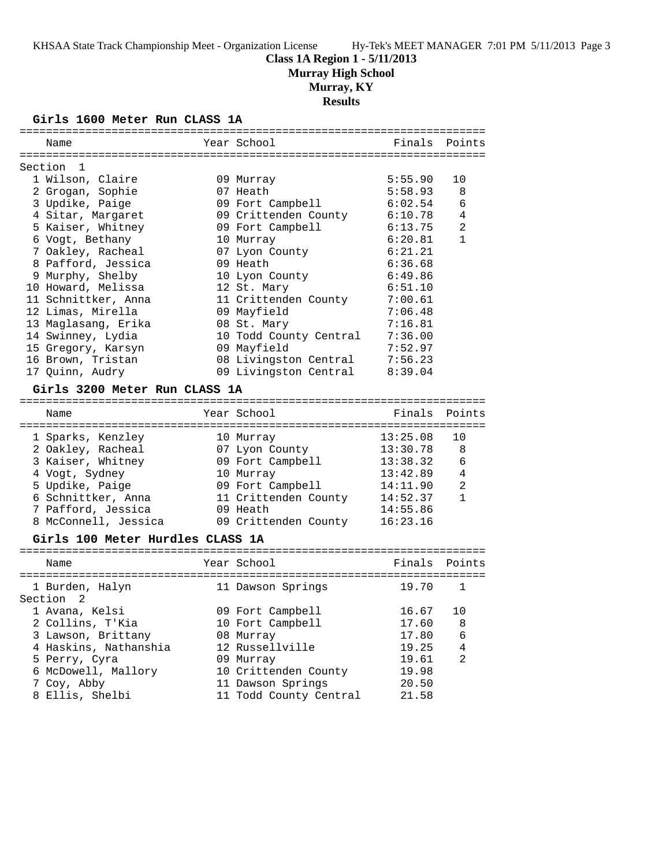#### **Class 1A Region 1 - 5/11/2013**

**Murray High School**

#### **Murray, KY**

**Results**

#### **Girls 1600 Meter Run CLASS 1A**

|         | Name                             | Year School            |          | Finals Points  |
|---------|----------------------------------|------------------------|----------|----------------|
|         |                                  |                        |          |                |
|         | Section<br>1                     |                        |          |                |
|         | 1 Wilson, Claire                 | 09 Murray              | 5:55.90  | 10             |
|         | 2 Grogan, Sophie                 | 07 Heath               | 5:58.93  | 8              |
|         | 3 Updike, Paige                  | 09 Fort Campbell       | 6:02.54  | 6              |
|         | 4 Sitar, Margaret                | 09 Crittenden County   | 6:10.78  | 4              |
|         | 5 Kaiser, Whitney                | 09 Fort Campbell       | 6:13.75  | $\overline{2}$ |
|         | 6 Vogt, Bethany                  | 10 Murray              | 6:20.81  | $\mathbf{1}$   |
|         | 7 Oakley, Racheal                | 07 Lyon County         | 6:21.21  |                |
|         | 8 Pafford, Jessica               | 09 Heath               | 6:36.68  |                |
|         | 9 Murphy, Shelby                 | 10 Lyon County         | 6:49.86  |                |
|         | 10 Howard, Melissa               | 12 St. Mary            | 6:51.10  |                |
|         | 11 Schnittker, Anna              | 11 Crittenden County   | 7:00.61  |                |
|         | 12 Limas, Mirella                | 09 Mayfield            | 7:06.48  |                |
|         | 13 Maglasang, Erika              | 08 St. Mary            | 7:16.81  |                |
|         | 14 Swinney, Lydia                | 10 Todd County Central | 7:36.00  |                |
|         | 15 Gregory, Karsyn               | 09 Mayfield            | 7:52.97  |                |
|         | 16 Brown, Tristan                | 08 Livingston Central  | 7:56.23  |                |
|         | 17 Quinn, Audry                  | 09 Livingston Central  | 8:39.04  |                |
|         |                                  |                        |          |                |
|         | Girls 3200 Meter Run CLASS 1A    |                        |          |                |
|         | Name                             | Year School            | Finals   | Points         |
|         |                                  |                        |          |                |
|         | 1 Sparks, Kenzley                | 10 Murray              | 13:25.08 | 10             |
|         | 2 Oakley, Racheal                | 07 Lyon County         | 13:30.78 | 8              |
|         | 3 Kaiser, Whitney                | 09 Fort Campbell       | 13:38.32 | 6              |
|         | 4 Vogt, Sydney                   | 10 Murray              | 13:42.89 | 4              |
|         | 5 Updike, Paige                  | 09 Fort Campbell       | 14:11.90 | 2              |
|         | 6 Schnittker, Anna               | 11 Crittenden County   | 14:52.37 | $\mathbf{1}$   |
|         | 7 Pafford, Jessica               | 09 Heath               | 14:55.86 |                |
|         | 8 McConnell, Jessica             | 09 Crittenden County   | 16:23.16 |                |
|         |                                  |                        |          |                |
|         | Girls 100 Meter Hurdles CLASS 1A |                        |          |                |
|         | Name                             | Year School            | Finals   | Points         |
|         |                                  |                        |          |                |
|         | 1 Burden, Halyn                  | 11 Dawson Springs      | 19.70    | 1              |
| Section | 2                                |                        |          |                |
|         |                                  |                        |          |                |
|         | 1 Avana, Kelsi                   | 09 Fort Campbell       | 16.67    | 10             |

 3 Lawson, Brittany 08 Murray 17.80 6 4 Haskins, Nathanshia 12 Russellville 19.25 4 5 Perry, Cyra 09 Murray 19.61 2 6 McDowell, Mallory 10 Crittenden County 19.98 7 Coy, Abby 11 Dawson Springs 20.50 8 Ellis, Shelbi 11 Todd County Central 21.58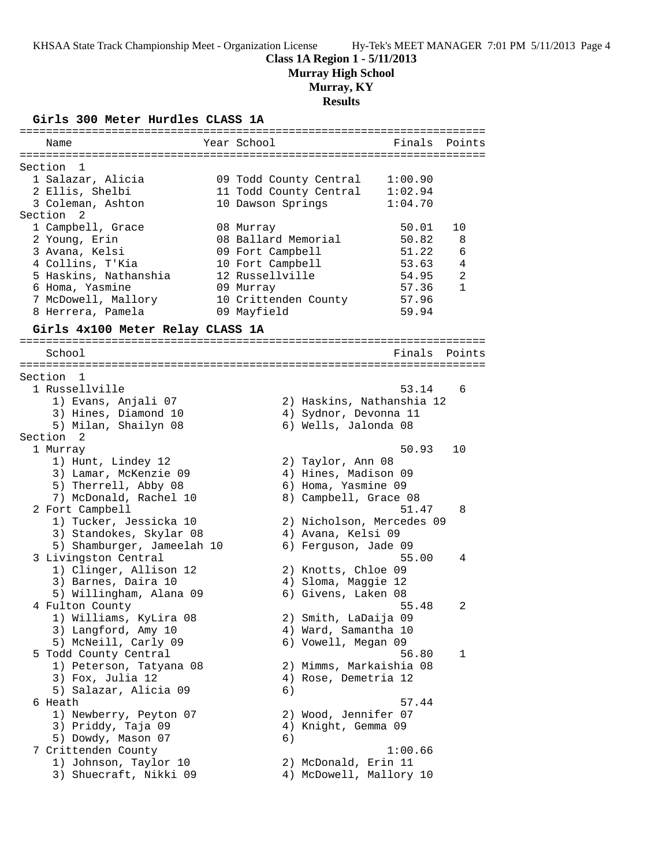## **Class 1A Region 1 - 5/11/2013**

**Murray High School**

# **Murray, KY**

# **Results**

**Girls 300 Meter Hurdles CLASS 1A**

| Name                             | Year School<br>Finals Points      |                |
|----------------------------------|-----------------------------------|----------------|
|                                  |                                   |                |
| Section<br>$\mathbf{1}$          |                                   |                |
| 1 Salazar, Alicia                | 09 Todd County Central<br>1:00.90 |                |
| 2 Ellis, Shelbi                  | 11 Todd County Central<br>1:02.94 |                |
| 3 Coleman, Ashton                | 1:04.70<br>10 Dawson Springs      |                |
| Section<br>2                     |                                   |                |
| 1 Campbell, Grace                | 08 Murray<br>50.01<br>10          |                |
| 2 Young, Erin                    | 08 Ballard Memorial<br>50.82      | 8              |
| 3 Avana, Kelsi                   | 09 Fort Campbell<br>51.22         | 6              |
| 4 Collins, T'Kia                 | 10 Fort Campbell<br>53.63         | 4              |
| 5 Haskins, Nathanshia            | 12 Russellville<br>54.95          | $\overline{a}$ |
| 6 Homa, Yasmine                  | 57.36<br>09 Murray                | $\mathbf{1}$   |
| 7 McDowell, Mallory              | 10 Crittenden County<br>57.96     |                |
| 8 Herrera, Pamela                | 09 Mayfield<br>59.94              |                |
| Girls 4x100 Meter Relay CLASS 1A |                                   |                |
| School                           | Finals                            | Points         |
|                                  |                                   |                |
| Section 1                        |                                   |                |
| 1 Russellville                   | 53.14                             | 6              |
| 1) Evans, Anjali 07              | 2) Haskins, Nathanshia 12         |                |
| 3) Hines, Diamond 10             | 4) Sydnor, Devonna 11             |                |
| 5) Milan, Shailyn 08             | 6) Wells, Jalonda 08              |                |
| Section 2                        |                                   |                |
| 1 Murray                         | 50.93<br>10                       |                |
| 1) Hunt, Lindey 12               | 2) Taylor, Ann 08                 |                |
| 3) Lamar, McKenzie 09            | 4) Hines, Madison 09              |                |
| 5) Therrell, Abby 08             | 6) Homa, Yasmine 09               |                |
| 7) McDonald, Rachel 10           | 8) Campbell, Grace 08             |                |
| 2 Fort Campbell                  | 51.47                             | 8              |
| 1) Tucker, Jessicka 10           | 2) Nicholson, Mercedes 09         |                |
| 3) Standokes, Skylar 08          | 4) Avana, Kelsi 09                |                |
| 5) Shamburger, Jameelah 10       | 6) Ferguson, Jade 09              |                |
| 3 Livingston Central             | 55.00                             | 4              |
| 1) Clinger, Allison 12           | 2) Knotts, Chloe 09               |                |
| 3) Barnes, Daira 10              | 4) Sloma, Maggie 12               |                |
| 5) Willingham, Alana 09          | 6) Givens, Laken 08               |                |
| 4 Fulton County                  | 55.48                             | 2              |
| 1) Williams, KyLira 08           | 2) Smith, LaDaija 09              |                |
| 3) Langford, Amy 10              | 4) Ward, Samantha 10              |                |
| 5) McNeill, Carly 09             | 6) Vowell, Megan 09               |                |
| 5 Todd County Central            | 56.80                             | 1              |
| 1) Peterson, Tatyana 08          | 2) Mimms, Markaishia 08           |                |
| 3) Fox, Julia 12                 | 4) Rose, Demetria 12              |                |
| 5) Salazar, Alicia 09            | 6)                                |                |
| 6 Heath                          | 57.44                             |                |
| 1) Newberry, Peyton 07           | 2) Wood, Jennifer 07              |                |
| 3) Priddy, Taja 09               | 4) Knight, Gemma 09               |                |
| 5) Dowdy, Mason 07               | 6)                                |                |
| 7 Crittenden County              | 1:00.66                           |                |
| 1) Johnson, Taylor 10            | 2) McDonald, Erin 11              |                |
| 3) Shuecraft, Nikki 09           | 4) McDowell, Mallory 10           |                |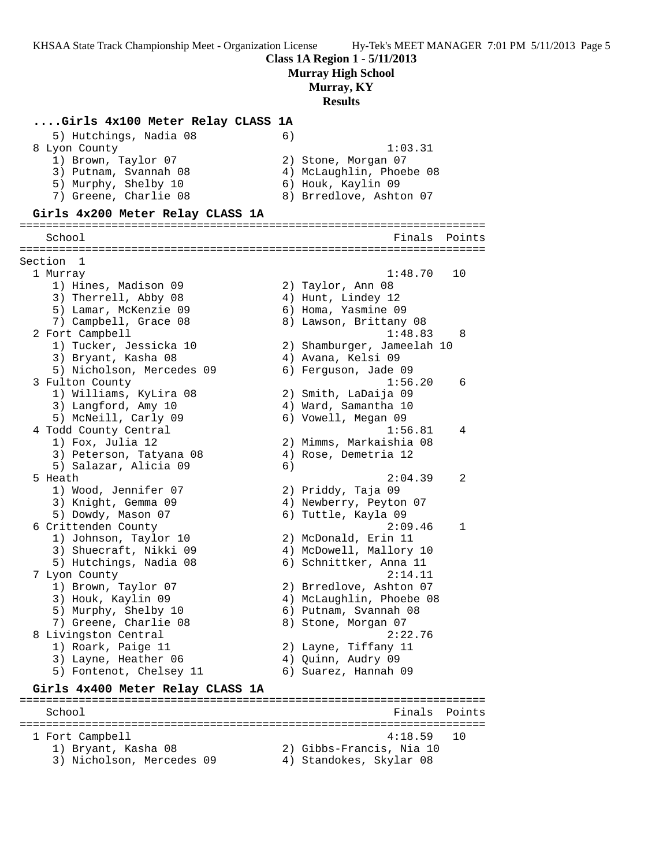**Class 1A Region 1 - 5/11/2013**

**Murray High School**

#### **Murray, KY**

### **Results**

#### **....Girls 4x100 Meter Relay CLASS 1A**

| 5) Hutchings, Nadia 08           | 6)                       |
|----------------------------------|--------------------------|
| 8 Lyon County                    | 1:03.31                  |
| 1) Brown, Taylor 07              | 2) Stone, Morgan 07      |
| 3) Putnam, Svannah 08            | 4) McLaughlin, Phoebe 08 |
| 5) Murphy, Shelby 10             | 6) Houk, Kaylin 09       |
| 7) Greene, Charlie 08            | 8) Brredlove, Ashton 07  |
| Girls 4x200 Meter Relay CLASS 1A |                          |

#### ======================================================================= School **Finals** Points ======================================================================= Section 1 1 Murray 1:48.70 10 1) Hines, Madison 09 2) Taylor, Ann 08 3) Therrell, Abby 08 4) Hunt, Lindey 12 5) Lamar, McKenzie 09 6) Homa, Yasmine 09 7) Campbell, Grace 08 8) Lawson, Brittany 08 2 Fort Campbell 1:48.83 8 1) Tucker, Jessicka 10 2) Shamburger, Jameelah 10 3) Bryant, Kasha 08  $\hskip 1.6cm 4$ ) Avana, Kelsi 09 5) Nicholson, Mercedes 09 6) Ferguson, Jade 09 3 Fulton County 1:56.20 6 1) Williams, KyLira 08 2) Smith, LaDaija 09 3) Langford, Amy 10 4) Ward, Samantha 10 5) McNeill, Carly 09 6) Vowell, Megan 09 4 Todd County Central 1:56.81 4 1) Fox, Julia 12 2) Mimms, Markaishia 08 3) Peterson, Tatyana 08 (4) Rose, Demetria 12 5) Salazar, Alicia 09 (6) 5 Heath 2:04.39 2 1) Wood, Jennifer 07 2) Priddy, Taja 09 3) Knight, Gemma 09 4) Newberry, Peyton 07 5) Dowdy, Mason 07 6) Tuttle, Kayla 09 6 Crittenden County 2:09.46 1 1) Johnson, Taylor 10 2) McDonald, Erin 11 3) Shuecraft, Nikki 09 4) McDowell, Mallory 10 5) Hutchings, Nadia 08 6) Schnittker, Anna 11 7 Lyon County 2:14.11 1) Brown, Taylor 07 2) Brredlove, Ashton 07 3) Houk, Kaylin 09 4) McLaughlin, Phoebe 08 5) Murphy, Shelby 10 6) Putnam, Svannah 08 7) Greene, Charlie 08 8) Stone, Morgan 07 8 Livingston Central 2:22.76 1) Roark, Paige 11 2) Layne, Tiffany 11 3) Layne, Heather 06 (4) Quinn, Audry 09 5) Fontenot, Chelsey 11  $\qquad \qquad$  6) Suarez, Hannah 09 **Girls 4x400 Meter Relay CLASS 1A** ======================================================================= School **Finals** Points ======================================================================= 1 Fort Campbell 4:18.59 10 1) Bryant, Kasha 08 2) Gibbs-Francis, Nia 10

- 3) Nicholson, Mercedes 09 4) Standokes, Skylar 08
-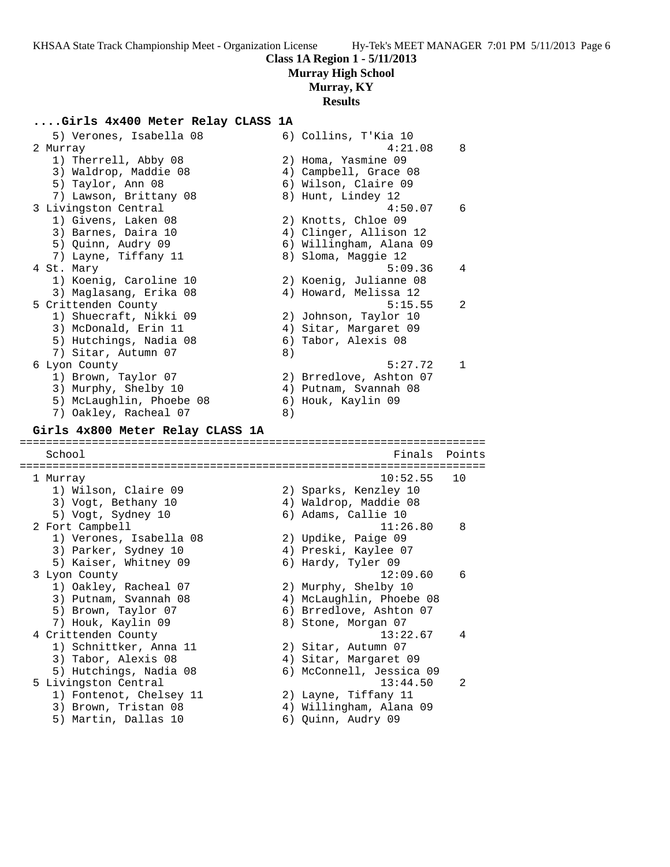## **Class 1A Region 1 - 5/11/2013 Murray High School**

**Murray, KY**

# **Results**

### **....Girls 4x400 Meter Relay CLASS 1A**

| 5) Verones, Isabella 08                      |    | 6) Collins, T'Kia 10                          |        |
|----------------------------------------------|----|-----------------------------------------------|--------|
| 2 Murray                                     |    | 4:21.08                                       | 8      |
| 1) Therrell, Abby 08                         |    | 2) Homa, Yasmine 09                           |        |
| 3) Waldrop, Maddie 08                        |    | 4) Campbell, Grace 08                         |        |
| 5) Taylor, Ann 08                            |    | 6) Wilson, Claire 09                          |        |
| 7) Lawson, Brittany 08                       |    | 8) Hunt, Lindey 12                            |        |
| 3 Livingston Central                         |    | 4:50.07                                       | 6      |
| 1) Givens, Laken 08                          |    | 2) Knotts, Chloe 09                           |        |
| 3) Barnes, Daira 10                          |    | 4) Clinger, Allison 12                        |        |
| 5) Quinn, Audry 09                           |    | 6) Willingham, Alana 09                       |        |
| 7) Layne, Tiffany 11                         |    | 8) Sloma, Maggie 12                           |        |
| 4 St. Mary                                   |    | 5:09.36                                       | 4      |
| 1) Koenig, Caroline 10                       |    | 2) Koenig, Julianne 08                        |        |
| 3) Maglasang, Erika 08                       |    | 4) Howard, Melissa 12                         |        |
| 5 Crittenden County                          |    | 5:15.55                                       | 2      |
| 1) Shuecraft, Nikki 09                       |    | 2) Johnson, Taylor 10                         |        |
| 3) McDonald, Erin 11                         |    | 4) Sitar, Margaret 09                         |        |
| 5) Hutchings, Nadia 08                       |    | 6) Tabor, Alexis 08                           |        |
| 7) Sitar, Autumn 07                          | 8) |                                               |        |
| 6 Lyon County                                |    | 5:27.72                                       | 1      |
| 1) Brown, Taylor 07                          |    | 2) Brredlove, Ashton 07                       |        |
| 3) Murphy, Shelby 10                         |    | 4) Putnam, Svannah 08                         |        |
| 5) McLaughlin, Phoebe 08                     |    | 6) Houk, Kaylin 09                            |        |
| 7) Oakley, Racheal 07                        | 8) |                                               |        |
|                                              |    |                                               |        |
|                                              |    |                                               |        |
| Girls 4x800 Meter Relay CLASS 1A             |    |                                               |        |
|                                              |    |                                               |        |
| School                                       |    | Finals                                        | Points |
|                                              |    | 10:52.55                                      | 10     |
| 1 Murray                                     |    |                                               |        |
| 1) Wilson, Claire 09                         |    | 2) Sparks, Kenzley 10                         |        |
| 3) Vogt, Bethany 10                          |    | 4) Waldrop, Maddie 08                         |        |
| 5) Vogt, Sydney 10                           |    | 6) Adams, Callie 10                           | 8      |
| 2 Fort Campbell                              |    | 11:26.80                                      |        |
| 1) Verones, Isabella 08                      |    | 2) Updike, Paige 09                           |        |
| 3) Parker, Sydney 10                         |    | 4) Preski, Kaylee 07                          |        |
| 5) Kaiser, Whitney 09                        |    | 6) Hardy, Tyler 09                            |        |
| 3 Lyon County                                |    | 12:09.60                                      | 6      |
| 1) Oakley, Racheal 07                        |    | 2) Murphy, Shelby 10                          |        |
| 3) Putnam, Svannah 08                        |    | 4) McLaughlin, Phoebe 08                      |        |
| 5) Brown, Taylor 07                          |    | 6) Brredlove, Ashton 07                       |        |
| 7) Houk, Kaylin 09                           |    | 8) Stone, Morgan 07                           |        |
| 4 Crittenden County                          |    | 13:22.67                                      | 4      |
| 1) Schnittker, Anna 11                       |    | 2) Sitar, Autumn 07                           |        |
| 3) Tabor, Alexis 08                          |    | 4) Sitar, Margaret 09                         |        |
| 5) Hutchings, Nadia 08                       |    | 6) McConnell, Jessica 09                      |        |
| 5 Livingston Central                         |    | 13:44.50                                      | 2      |
| 1) Fontenot, Chelsey 11                      |    | 2) Layne, Tiffany 11                          |        |
| 3) Brown, Tristan 08<br>5) Martin, Dallas 10 |    | 4) Willingham, Alana 09<br>6) Quinn, Audry 09 |        |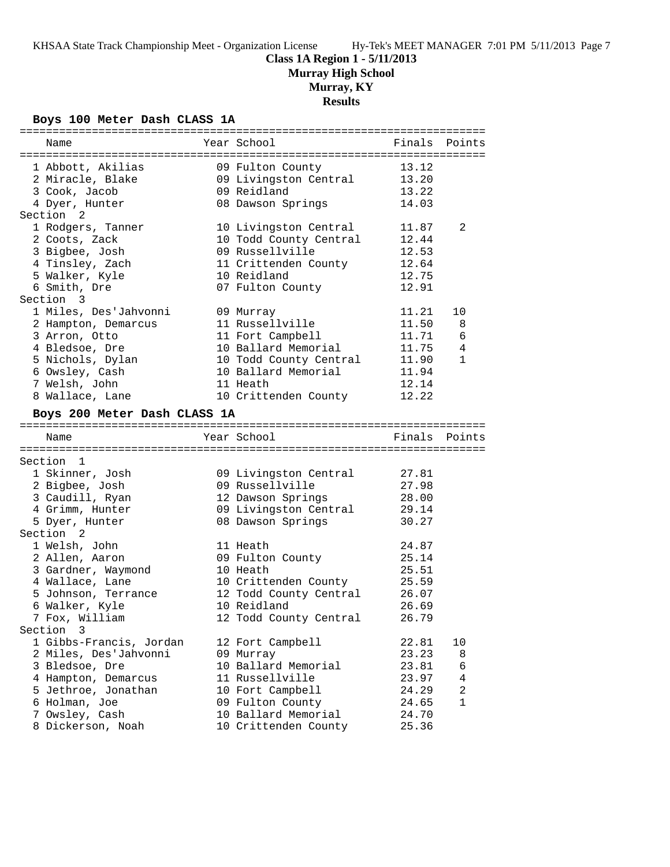**Murray High School**

**Murray, KY**

# **Results**

#### **Boys 100 Meter Dash CLASS 1A**

| Name                                | Year School                                 | Finals         | Points         |
|-------------------------------------|---------------------------------------------|----------------|----------------|
|                                     |                                             |                |                |
| 1 Abbott, Akilias                   | 09 Fulton County                            | 13.12          |                |
| 2 Miracle, Blake                    | 09 Livingston Central                       | 13.20          |                |
| 3 Cook, Jacob                       | 09 Reidland                                 | 13.22          |                |
| 4 Dyer, Hunter                      | 08 Dawson Springs                           | 14.03          |                |
| Section 2                           |                                             |                |                |
| 1 Rodgers, Tanner                   | 10 Livingston Central                       | 11.87          | 2              |
| 2 Coots, Zack                       | 10 Todd County Central                      | 12.44          |                |
| 3 Bigbee, Josh                      | 09 Russellville                             | 12.53          |                |
| 4 Tinsley, Zach                     | 11 Crittenden County                        | 12.64          |                |
| 5 Walker, Kyle                      | 10 Reidland                                 | 12.75          |                |
| 6 Smith, Dre                        | 07 Fulton County                            | 12.91          |                |
| Section 3                           |                                             |                |                |
| 1 Miles, Des'Jahvonni               | 09 Murray                                   | 11.21          | 10             |
| 2 Hampton, Demarcus                 | 11 Russellville                             | 11.50          | 8              |
| 3 Arron, Otto                       | 11 Fort Campbell                            | 11.71          | 6              |
| 4 Bledsoe, Dre                      | 10 Ballard Memorial                         | 11.75          | 4              |
| 5 Nichols, Dylan                    | 10 Todd County Central                      | 11.90          | 1              |
| 6 Owsley, Cash                      | 10 Ballard Memorial                         | 11.94          |                |
| 7 Welsh, John                       | 11 Heath                                    | 12.14          |                |
| 8 Wallace, Lane                     | 10 Crittenden County                        | 12.22          |                |
|                                     |                                             |                |                |
| Boys 200 Meter Dash CLASS 1A        |                                             |                |                |
|                                     |                                             |                |                |
|                                     |                                             |                |                |
| Name                                | Year School                                 | Finals         | Points         |
| Section 1                           |                                             |                |                |
|                                     |                                             |                |                |
| 1 Skinner, Josh                     | 09 Livingston Central                       | 27.81          |                |
| 2 Bigbee, Josh                      | 09 Russellville                             | 27.98          |                |
| 3 Caudill, Ryan                     | 12 Dawson Springs                           | 28.00          |                |
| 4 Grimm, Hunter                     | 09 Livingston Central                       | 29.14          |                |
| 5 Dyer, Hunter                      | 08 Dawson Springs                           | 30.27          |                |
| Section<br>2                        |                                             |                |                |
| 1 Welsh, John                       | 11 Heath                                    | 24.87          |                |
| 2 Allen, Aaron                      | 09 Fulton County                            | 25.14          |                |
| 3 Gardner, Waymond                  | 10 Heath                                    | 25.51          |                |
| 4 Wallace, Lane                     | 10 Crittenden County                        | 25.59          |                |
| 5 Johnson, Terrance                 | 12 Todd County Central                      | 26.07          |                |
| 6 Walker, Kyle                      | 10 Reidland                                 | 26.69          |                |
| 7 Fox, William                      | 12 Todd County Central                      | 26.79          |                |
| Section 3                           |                                             |                |                |
| 1 Gibbs-Francis, Jordan             | 12 Fort Campbell                            | 22.81          | 10             |
| 2 Miles, Des'Jahvonni               | 09 Murray                                   | 23.23          | 8              |
| 3 Bledsoe, Dre                      | 10 Ballard Memorial                         | 23.81          | 6              |
| 4 Hampton, Demarcus                 | 11 Russellville                             | 23.97          | $\overline{4}$ |
| 5 Jethroe, Jonathan                 | 10 Fort Campbell                            | 24.29          | 2              |
| 6 Holman, Joe                       | 09 Fulton County                            | 24.65          | $\mathbf{1}$   |
| 7 Owsley, Cash<br>8 Dickerson, Noah | 10 Ballard Memorial<br>10 Crittenden County | 24.70<br>25.36 |                |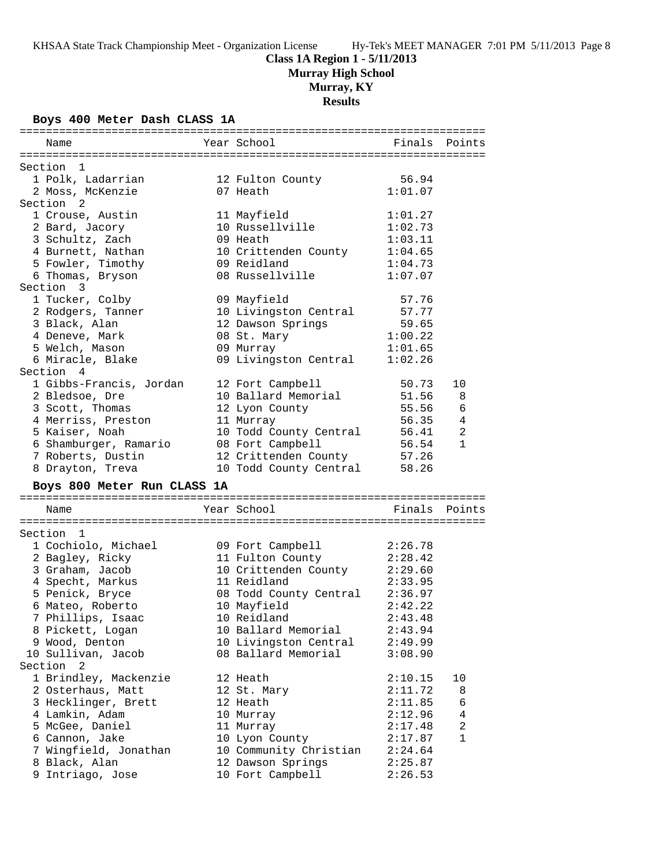**Murray High School**

**Murray, KY**

## **Results**

#### **Boys 400 Meter Dash CLASS 1A**

| Name                        | Year School            | Finals  | Points         |
|-----------------------------|------------------------|---------|----------------|
|                             |                        |         |                |
| Section 1                   |                        |         |                |
| 1 Polk, Ladarrian           | 12 Fulton County       | 56.94   |                |
| 2 Moss, McKenzie            | 07 Heath               | 1:01.07 |                |
| Section <sub>2</sub>        |                        |         |                |
| 1 Crouse, Austin            | 11 Mayfield            | 1:01.27 |                |
| 2 Bard, Jacory              | 10 Russellville        | 1:02.73 |                |
| 3 Schultz, Zach             | 09 Heath               | 1:03.11 |                |
| 4 Burnett, Nathan           | 10 Crittenden County   | 1:04.65 |                |
| 5 Fowler, Timothy           | 09 Reidland            | 1:04.73 |                |
| 6 Thomas, Bryson            | 08 Russellville        | 1:07.07 |                |
| Section 3                   |                        |         |                |
| 1 Tucker, Colby             | 09 Mayfield            | 57.76   |                |
| 2 Rodgers, Tanner           | 10 Livingston Central  | 57.77   |                |
| 3 Black, Alan               | 12 Dawson Springs      | 59.65   |                |
| 4 Deneve, Mark              | 08 St. Mary            | 1:00.22 |                |
| 5 Welch, Mason              | 09 Murray              | 1:01.65 |                |
| 6 Miracle, Blake            | 09 Livingston Central  | 1:02.26 |                |
| Section 4                   |                        |         |                |
| 1 Gibbs-Francis, Jordan     | 12 Fort Campbell       | 50.73   | 10             |
| 2 Bledsoe, Dre              | 10 Ballard Memorial    | 51.56   | 8              |
| 3 Scott, Thomas             | 12 Lyon County         | 55.56   | 6              |
| 4 Merriss, Preston          | 11 Murray              | 56.35   | 4              |
| 5 Kaiser, Noah              | 10 Todd County Central | 56.41   | $\overline{a}$ |
| 6 Shamburger, Ramario       | 08 Fort Campbell       | 56.54   | $\mathbf{1}$   |
| 7 Roberts, Dustin           | 12 Crittenden County   | 57.26   |                |
| 8 Drayton, Treva            | 10 Todd County Central | 58.26   |                |
| Boys 800 Meter Run CLASS 1A |                        |         |                |
| Name                        | Year School            | Finals  | Points         |
|                             |                        |         |                |
| Section 1                   |                        |         |                |
| 1 Cochiolo, Michael         | 09 Fort Campbell       | 2:26.78 |                |
| 2 Bagley, Ricky             | 11 Fulton County       | 2:28.42 |                |
| 3 Graham, Jacob             | 10 Crittenden County   | 2:29.60 |                |
| 4 Specht, Markus            | 11 Reidland            | 2:33.95 |                |
| 5 Penick, Bryce             | 08 Todd County Central | 2:36.97 |                |
| 6 Mateo, Roberto            | 10 Mayfield            | 2:42.22 |                |
| 7 Phillips, Isaac           | 10 Reidland            | 2:43.48 |                |
| 8 Pickett, Logan            | 10 Ballard Memorial    | 2:43.94 |                |
| 9 Wood, Denton              | 10 Livingston Central  | 2:49.99 |                |
| 10 Sullivan, Jacob          | 08 Ballard Memorial    | 3:08.90 |                |
| Section 2                   |                        |         |                |
| 1 Brindley, Mackenzie       |                        |         |                |
|                             | 12 Heath               | 2:10.15 | 10             |
| 2 Osterhaus, Matt           | 12 St. Mary            | 2:11.72 | 8              |
| 3 Hecklinger, Brett         | 12 Heath               | 2:11.85 | 6              |
| 4 Lamkin, Adam              | 10 Murray              | 2:12.96 | 4              |
| 5 McGee, Daniel             | 11 Murray              | 2:17.48 | $\overline{2}$ |
| 6 Cannon, Jake              | 10 Lyon County         | 2:17.87 | $\mathbf{1}$   |
| 7 Wingfield, Jonathan       | 10 Community Christian | 2:24.64 |                |
| 8 Black, Alan               | 12 Dawson Springs      | 2:25.87 |                |
| 9 Intriago, Jose            | 10 Fort Campbell       | 2:26.53 |                |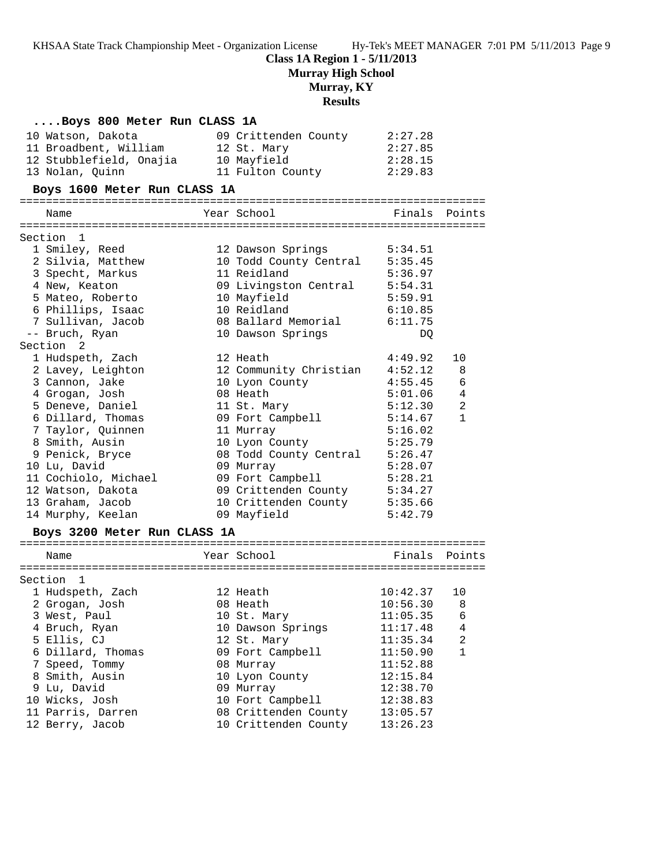**Murray High School**

# **Murray, KY**

# **Results**

| Boys 800 Meter Run CLASS 1A  |                        |               |                |
|------------------------------|------------------------|---------------|----------------|
| 10 Watson, Dakota            | 09 Crittenden County   | 2:27.28       |                |
| 11 Broadbent, William        | 12 St. Mary            | 2:27.85       |                |
| 12 Stubblefield, Onajia      | 10 Mayfield            | 2:28.15       |                |
| 13 Nolan, Quinn              | 11 Fulton County       | 2:29.83       |                |
| Boys 1600 Meter Run CLASS 1A |                        |               |                |
| Name                         | Year School            | Finals Points |                |
| Section<br>1                 |                        |               |                |
| 1 Smiley, Reed               | 12 Dawson Springs      | 5:34.51       |                |
| 2 Silvia, Matthew            | 10 Todd County Central | 5:35.45       |                |
| 3 Specht, Markus             | 11 Reidland            | 5:36.97       |                |
| 4 New, Keaton                | 09 Livingston Central  | 5:54.31       |                |
| 5 Mateo, Roberto             | 10 Mayfield            | 5:59.91       |                |
| 6 Phillips, Isaac            | 10 Reidland            | 6:10.85       |                |
| 7 Sullivan, Jacob            | 08 Ballard Memorial    | 6:11.75       |                |
| -- Bruch, Ryan               | 10 Dawson Springs      | DQ            |                |
| Section 2                    |                        |               |                |
| 1 Hudspeth, Zach             | 12 Heath               | 4:49.92       | 10             |
| 2 Lavey, Leighton            | 12 Community Christian | 4:52.12       | 8              |
| 3 Cannon, Jake               | 10 Lyon County         | 4:55.45       | 6              |
| 4 Grogan, Josh               | 08 Heath               | 5:01.06       | 4              |
| 5 Deneve, Daniel             | 11 St. Mary            | 5:12.30       | $\overline{2}$ |
| 6 Dillard, Thomas            | 09 Fort Campbell       | 5:14.67       | $\mathbf{1}$   |
| 7 Taylor, Quinnen            | 11 Murray              | 5:16.02       |                |
| 8 Smith, Ausin               | 10 Lyon County         | 5:25.79       |                |
| 9 Penick, Bryce              | 08 Todd County Central | 5:26.47       |                |
| 10 Lu, David                 | 09 Murray              | 5:28.07       |                |
| 11 Cochiolo, Michael         | 09 Fort Campbell       | 5:28.21       |                |
| 12 Watson, Dakota            | 09 Crittenden County   | 5:34.27       |                |
| 13 Graham, Jacob             | 10 Crittenden County   | 5:35.66       |                |
| 14 Murphy, Keelan            | 09 Mayfield            | 5:42.79       |                |
| Boys 3200 Meter Run CLASS 1A |                        |               |                |
| Name                         | Year School            | Finals Points |                |
|                              |                        |               |                |
| Section<br>1                 |                        |               |                |
| 1 Hudspeth, Zach             | 12 Heath               | 10:42.37      | 10             |
| 2 Grogan, Josh               | 08 Heath               | 10:56.30      | -8             |
| 3 West, Paul                 | 10 St. Mary            | 11:05.35      | 6              |
| 4 Bruch, Ryan                | 10 Dawson Springs      | 11:17.48      | 4              |
| 5 Ellis, CJ                  | 12 St. Mary            | 11:35.34      | 2              |
| 6 Dillard, Thomas            | 09 Fort Campbell       | 11:50.90      | 1              |
| 7 Speed, Tommy               | 08 Murray              | 11:52.88      |                |
| 8 Smith, Ausin               | 10 Lyon County         | 12:15.84      |                |
| 9 Lu, David                  | 09 Murray              | 12:38.70      |                |
| 10 Wicks, Josh               | 10 Fort Campbell       | 12:38.83      |                |
| 11 Parris, Darren            | 08 Crittenden County   | 13:05.57      |                |

12 Berry, Jacob 10 Crittenden County 13:26.23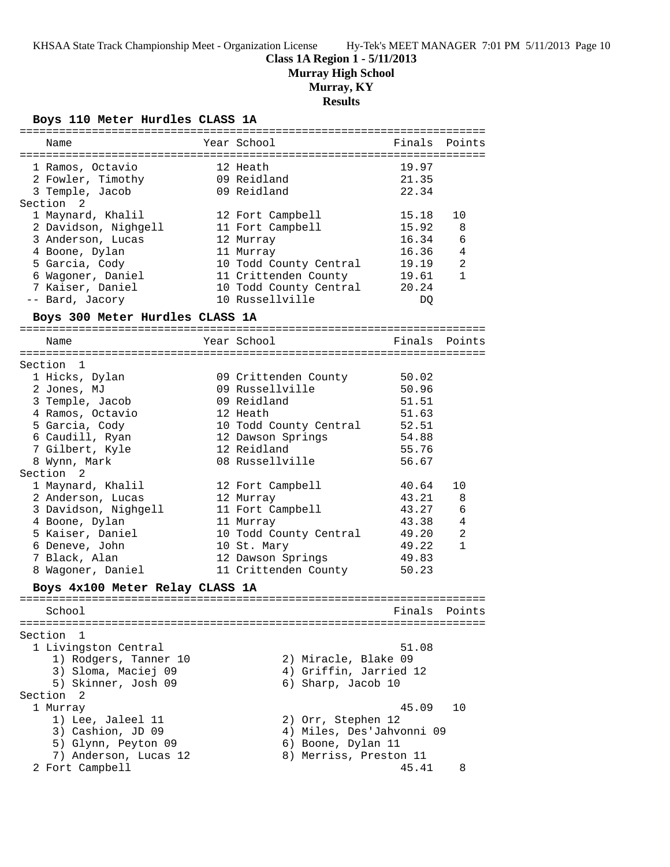**Murray High School**

# **Murray, KY**

# **Results**

**Boys 110 Meter Hurdles CLASS 1A**

| Name                            | Year School               | Finals Points |                |
|---------------------------------|---------------------------|---------------|----------------|
| 1 Ramos, Octavio                | 12 Heath                  | 19.97         |                |
| 2 Fowler, Timothy               | 09 Reidland               | 21.35         |                |
| 3 Temple, Jacob                 | 09 Reidland               | 22.34         |                |
| Section<br>2                    |                           |               |                |
| 1 Maynard, Khalil               | 12 Fort Campbell          | 15.18         | 10             |
| 2 Davidson, Nighgell            | 11 Fort Campbell          | 15.92         | 8              |
| 3 Anderson, Lucas               | 12 Murray                 | 16.34         | 6              |
| 4 Boone, Dylan                  | 11 Murray                 | 16.36         | 4              |
| 5 Garcia, Cody                  | 10 Todd County Central    | 19.19         | 2              |
| 6 Wagoner, Daniel               | 11 Crittenden County      | 19.61         | $\mathbf{1}$   |
| 7 Kaiser, Daniel                | 10 Todd County Central    | 20.24         |                |
| -- Bard, Jacory                 | 10 Russellville           | DQ            |                |
| Boys 300 Meter Hurdles CLASS 1A |                           |               |                |
|                                 |                           |               |                |
| Name                            | Year School               | Finals Points |                |
| Section 1                       |                           |               |                |
| 1 Hicks, Dylan                  | 09 Crittenden County      | 50.02         |                |
| 2 Jones, MJ                     | 09 Russellville           | 50.96         |                |
| 3 Temple, Jacob                 | 09 Reidland               | 51.51         |                |
| 4 Ramos, Octavio                | 12 Heath                  | 51.63         |                |
| 5 Garcia, Cody                  | 10 Todd County Central    | 52.51         |                |
| 6 Caudill, Ryan                 | 12 Dawson Springs         | 54.88         |                |
| 7 Gilbert, Kyle                 | 12 Reidland               | 55.76         |                |
|                                 | 08 Russellville           | 56.67         |                |
| 8 Wynn, Mark<br>Section 2       |                           |               |                |
| 1 Maynard, Khalil               | 12 Fort Campbell          | 40.64         | 10             |
| 2 Anderson, Lucas               | 12 Murray                 | 43.21         | 8              |
| 3 Davidson, Nighgell            | 11 Fort Campbell          | 43.27         | 6              |
| 4 Boone, Dylan                  | 11 Murray                 | 43.38         | 4              |
| 5 Kaiser, Daniel                | 10 Todd County Central    | 49.20         | $\overline{a}$ |
| 6 Deneve, John                  | 10 St. Mary               | 49.22         | $\mathbf{1}$   |
| 7 Black, Alan                   | 12 Dawson Springs         | 49.83         |                |
| 8 Wagoner, Daniel               | 11 Crittenden County      | 50.23         |                |
|                                 |                           |               |                |
| Boys 4x100 Meter Relay CLASS 1A |                           |               |                |
| School                          |                           | Finals        | Points         |
|                                 |                           |               |                |
| Section 1                       |                           | 51.08         |                |
| 1 Livingston Central            |                           |               |                |
| 1) Rodgers, Tanner 10           | 2) Miracle, Blake 09      |               |                |
| 3) Sloma, Maciej 09             | 4) Griffin, Jarried 12    |               |                |
| 5) Skinner, Josh 09<br>Section  | 6) Sharp, Jacob 10        |               |                |
| -2                              |                           |               |                |
| 1 Murray                        |                           | 45.09         | 10             |
| 1) Lee, Jaleel 11               | 2) Orr, Stephen 12        |               |                |
| 3) Cashion, JD 09               | 4) Miles, Des'Jahvonni 09 |               |                |
| 5) Glynn, Peyton 09             | 6) Boone, Dylan 11        |               |                |
| 7) Anderson, Lucas 12           | 8) Merriss, Preston 11    |               |                |
| 2 Fort Campbell                 |                           | 45.41         | 8              |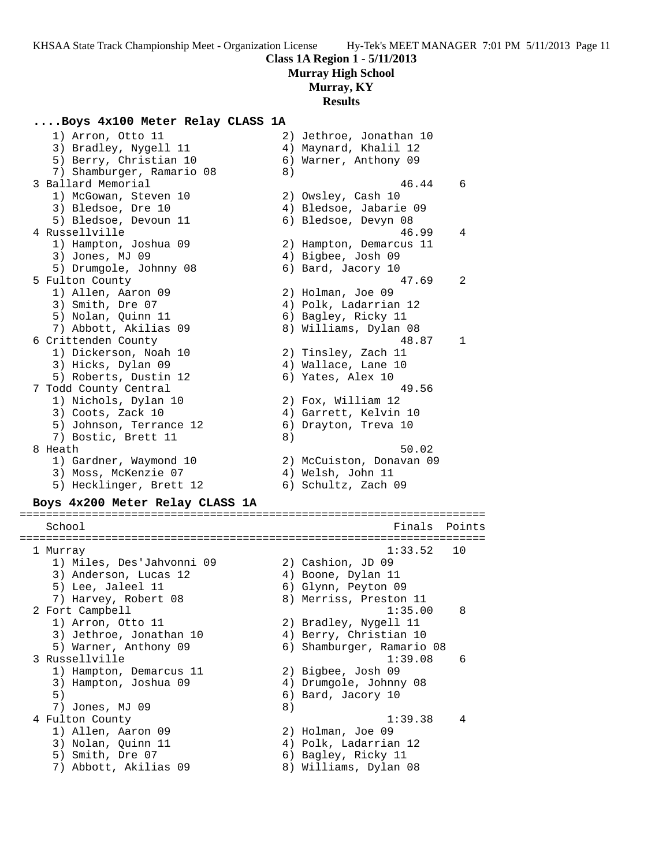## **Class 1A Region 1 - 5/11/2013 Murray High School Murray, KY**

## **Results**

#### **....Boys 4x100 Meter Relay CLASS 1A**

| 1) Arron, Otto 11               |    | 2) Jethroe, Jonathan 10   |        |
|---------------------------------|----|---------------------------|--------|
| 3) Bradley, Nygell 11           |    | 4) Maynard, Khalil 12     |        |
| 5) Berry, Christian 10          |    | 6) Warner, Anthony 09     |        |
| 7) Shamburger, Ramario 08       | 8) |                           |        |
| 3 Ballard Memorial              |    | 46.44                     | 6      |
| 1) McGowan, Steven 10           |    | 2) Owsley, Cash 10        |        |
| 3) Bledsoe, Dre 10              |    | 4) Bledsoe, Jabarie 09    |        |
| 5) Bledsoe, Devoun 11           |    | 6) Bledsoe, Devyn 08      |        |
| 4 Russellville                  |    | 46.99                     | 4      |
| 1) Hampton, Joshua 09           |    | 2) Hampton, Demarcus 11   |        |
| 3) Jones, MJ 09                 |    | 4) Bigbee, Josh 09        |        |
| 5) Drumgole, Johnny 08          |    | 6) Bard, Jacory 10        |        |
| 5 Fulton County                 |    | 47.69                     | 2      |
| 1) Allen, Aaron 09              |    | 2) Holman, Joe 09         |        |
| 3) Smith, Dre 07                |    | 4) Polk, Ladarrian 12     |        |
| 5) Nolan, Quinn 11              |    | 6) Bagley, Ricky 11       |        |
| 7) Abbott, Akilias 09           |    | 8) Williams, Dylan 08     |        |
| 6 Crittenden County             |    | 48.87                     | 1      |
| 1) Dickerson, Noah 10           |    | 2) Tinsley, Zach 11       |        |
| 3) Hicks, Dylan 09              |    | 4) Wallace, Lane 10       |        |
| 5) Roberts, Dustin 12           |    | 6) Yates, Alex 10         |        |
| 7 Todd County Central           |    | 49.56                     |        |
| 1) Nichols, Dylan 10            |    | 2) Fox, William 12        |        |
| 3) Coots, Zack 10               |    | 4) Garrett, Kelvin 10     |        |
| 5) Johnson, Terrance 12         |    | 6) Drayton, Treva 10      |        |
| 7) Bostic, Brett 11             | 8) |                           |        |
| 8 Heath                         |    | 50.02                     |        |
| 1) Gardner, Waymond 10          |    | 2) McCuiston, Donavan 09  |        |
| 3) Moss, McKenzie 07            |    | 4) Welsh, John 11         |        |
| 5) Hecklinger, Brett 12         |    | 6) Schultz, Zach 09       |        |
|                                 |    |                           |        |
| Boys 4x200 Meter Relay CLASS 1A |    |                           |        |
| School                          |    | Finals                    | Points |
|                                 |    |                           |        |
| l Murray                        |    | 1:33.52                   | 10     |
| 1) Miles, Des'Jahvonni 09       |    | 2) Cashion, JD 09         |        |
| 3) Anderson, Lucas 12           |    | 4) Boone, Dylan 11        |        |
| 5) Lee, Jaleel 11               |    | 6) Glynn, Peyton 09       |        |
| 7) Harvey, Robert 08            |    | 8) Merriss, Preston 11    |        |
| 2 Fort Campbell                 |    | 1:35.00                   | 8      |
| 1) Arron, Otto 11               |    | 2) Bradley, Nygell 11     |        |
| 3) Jethroe, Jonathan 10         |    | 4) Berry, Christian 10    |        |
| 5) Warner, Anthony 09           |    | 6) Shamburger, Ramario 08 |        |
| 3 Russellville                  |    | 1:39.08                   | 6      |
| 1) Hampton, Demarcus 11         |    | 2) Bigbee, Josh 09        |        |
| 3) Hampton, Joshua 09           |    | 4) Drumgole, Johnny 08    |        |
| 5)                              |    | 6) Bard, Jacory 10        |        |
| 7) Jones, MJ 09                 | 8) |                           |        |
| 4 Fulton County                 |    | 1:39.38                   | 4      |
| 1) Allen, Aaron 09              |    | 2) Holman, Joe 09         |        |
| 3) Nolan, Quinn 11              |    | 4) Polk, Ladarrian 12     |        |
|                                 |    |                           |        |

5) Smith, Dre 07 6) Bagley, Ricky 11 7) Abbott, Akilias 09 8) Williams, Dylan 08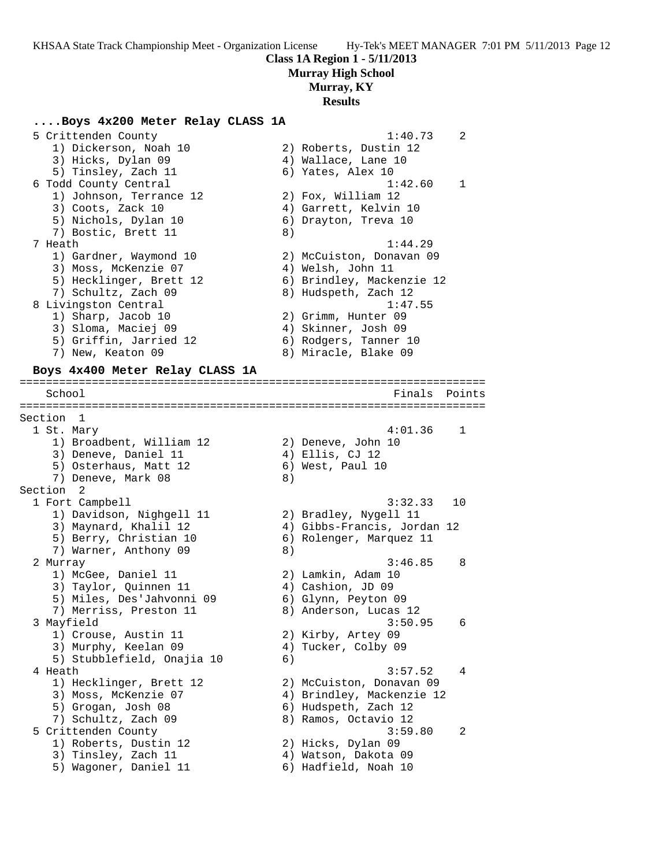**Class 1A Region 1 - 5/11/2013**

**Murray High School**

**Murray, KY**

#### **Results**

#### **....Boys 4x200 Meter Relay CLASS 1A**

| 5 Crittenden County     |    | 1:40.73                   | $\mathfrak{D}$ |
|-------------------------|----|---------------------------|----------------|
| 1) Dickerson, Noah 10   |    | 2) Roberts, Dustin 12     |                |
| 3) Hicks, Dylan 09      |    | 4) Wallace, Lane 10       |                |
| 5) Tinsley, Zach 11     |    | 6) Yates, Alex 10         |                |
| 6 Todd County Central   |    | 1:42.60                   | $\mathbf{1}$   |
| 1) Johnson, Terrance 12 |    | 2) Fox, William 12        |                |
| 3) Coots, Zack 10       |    | 4) Garrett, Kelvin 10     |                |
| 5) Nichols, Dylan 10    |    | 6) Drayton, Treva 10      |                |
| 7) Bostic, Brett 11     | 8) |                           |                |
| 7 Heath                 |    | 1:44.29                   |                |
| 1) Gardner, Waymond 10  |    | 2) McCuiston, Donavan 09  |                |
| 3) Moss, McKenzie 07    |    | 4) Welsh, John 11         |                |
| 5) Hecklinger, Brett 12 |    | 6) Brindley, Mackenzie 12 |                |
| 7) Schultz, Zach 09     |    | 8) Hudspeth, Zach 12      |                |
| 8 Livingston Central    |    | 1:47.55                   |                |
| 1) Sharp, Jacob 10      |    | 2) Grimm, Hunter 09       |                |
| 3) Sloma, Maciej 09     |    | 4) Skinner, Josh 09       |                |
| 5) Griffin, Jarried 12  |    | 6) Rodgers, Tanner 10     |                |
| 7) New, Keaton 09       |    | 8) Miracle, Blake 09      |                |
|                         |    |                           |                |

=======================================================================

#### **Boys 4x400 Meter Relay CLASS 1A**

School **Finals** Points ======================================================================= Section 1 1 St. Mary 4:01.36 1 1) Broadbent, William 12 2) Deneve, John 10 3) Deneve, Daniel 11 (4) Ellis, CJ 12 5) Osterhaus, Matt 12 (6) West, Paul 10 7) Deneve, Mark 08 (8) Section 2<br>1 Fort Campbell 1 Fort Campbell 3:32.33 10 1) Davidson, Nighgell 11 2) Bradley, Nygell 11 3) Maynard, Khalil 12 4) Gibbs-Francis, Jordan 12 5) Berry, Christian 10 6) Rolenger, Marquez 11 7) Warner, Anthony 09 8) 2 Murray 3:46.85 8 1) McGee, Daniel 11 2) Lamkin, Adam 10 3) Taylor, Quinnen 11  $\qquad \qquad$  4) Cashion, JD 09 5) Miles, Des'Jahvonni 09 6) Glynn, Peyton 09 7) Merriss, Preston 11 8) Anderson, Lucas 12 3 Mayfield 3:50.95 6 1) Crouse, Austin 11 2) Kirby, Artey 09 3) Murphy, Keelan 09 4) Tucker, Colby 09 5) Stubblefield, Onajia 10 (6) 4 Heath 3:57.52 4 1) Hecklinger, Brett 12 2) McCuiston, Donavan 09 3) Moss, McKenzie 07 4) Brindley, Mackenzie 12 5) Grogan, Josh 08 6) Hudspeth, Zach 12 7) Schultz, Zach 09 8) Ramos, Octavio 12 5 Crittenden County 3:59.80 2 1) Roberts, Dustin 12 2) Hicks, Dylan 09 3) Tinsley, Zach 11 (4) Watson, Dakota 09 5) Wagoner, Daniel 11  $\qquad \qquad$  6) Hadfield, Noah 10